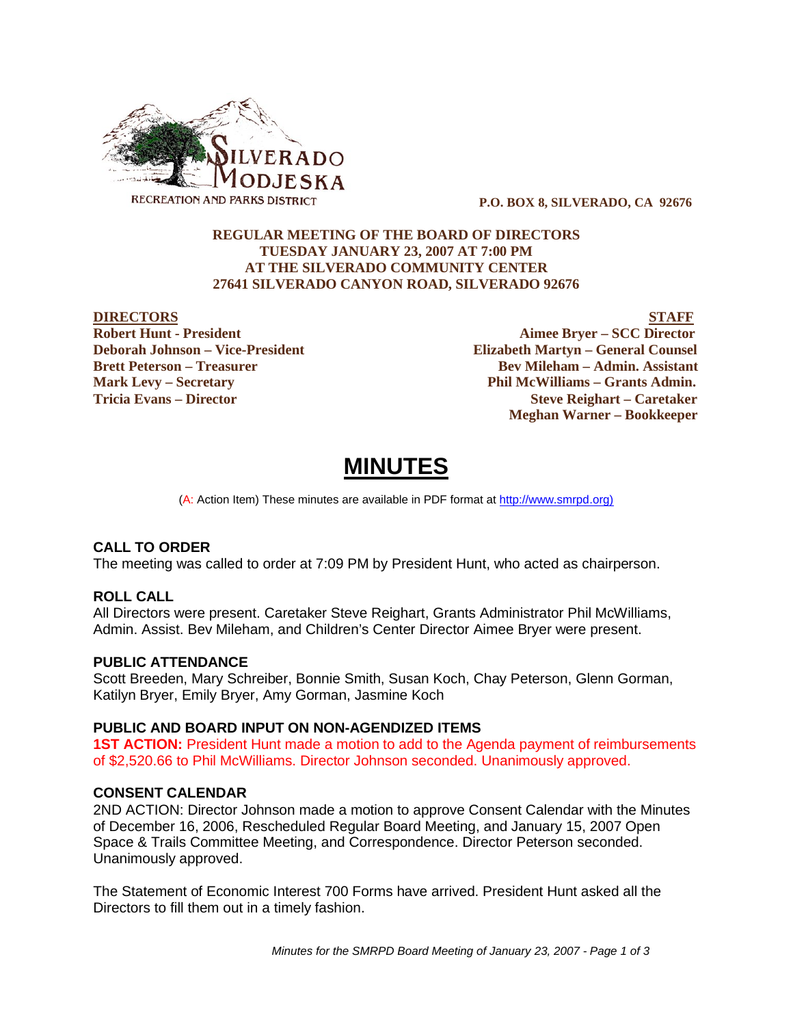

 **P.O. BOX 8, SILVERADO, CA 92676**

## **REGULAR MEETING OF THE BOARD OF DIRECTORS TUESDAY JANUARY 23, 2007 AT 7:00 PM AT THE SILVERADO COMMUNITY CENTER 27641 SILVERADO CANYON ROAD, SILVERADO 92676**

**DIRECTORS** STAFF **Robert Hunt - President Aimee Bryer – SCC Director Deborah Johnson – Vice-President Elizabeth Martyn – General Counsel Brett Peterson – Treasurer States and Bev Mileham – Admin. Assistant Mark Levy – Secretary Phil McWilliams – Grants Admin. Tricia Evans – Director Steve Reighart – Caretaker Meghan Warner – Bookkeeper**

# **MINUTES**

(A: Action Item) These minutes are available in PDF format at http://www.smrpd.org)

# **CALL TO ORDER**

The meeting was called to order at 7:09 PM by President Hunt, who acted as chairperson.

#### **ROLL CALL**

All Directors were present. Caretaker Steve Reighart, Grants Administrator Phil McWilliams, Admin. Assist. Bev Mileham, and Children's Center Director Aimee Bryer were present.

# **PUBLIC ATTENDANCE**

Scott Breeden, Mary Schreiber, Bonnie Smith, Susan Koch, Chay Peterson, Glenn Gorman, Katilyn Bryer, Emily Bryer, Amy Gorman, Jasmine Koch

#### **PUBLIC AND BOARD INPUT ON NON-AGENDIZED ITEMS**

**1ST ACTION:** President Hunt made a motion to add to the Agenda payment of reimbursements of \$2,520.66 to Phil McWilliams. Director Johnson seconded. Unanimously approved.

#### **CONSENT CALENDAR**

2ND ACTION: Director Johnson made a motion to approve Consent Calendar with the Minutes of December 16, 2006, Rescheduled Regular Board Meeting, and January 15, 2007 Open Space & Trails Committee Meeting, and Correspondence. Director Peterson seconded. Unanimously approved.

The Statement of Economic Interest 700 Forms have arrived. President Hunt asked all the Directors to fill them out in a timely fashion.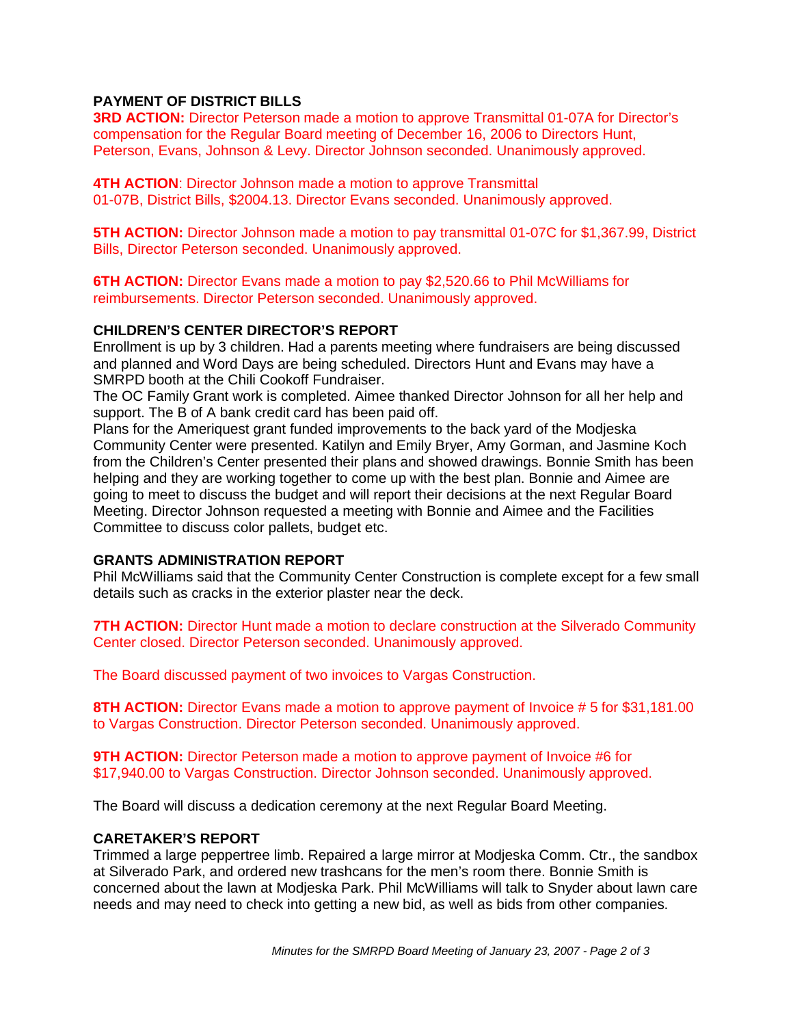# **PAYMENT OF DISTRICT BILLS**

**3RD ACTION:** Director Peterson made a motion to approve Transmittal 01-07A for Director's compensation for the Regular Board meeting of December 16, 2006 to Directors Hunt, Peterson, Evans, Johnson & Levy. Director Johnson seconded. Unanimously approved.

**4TH ACTION:** Director Johnson made a motion to approve Transmittal 01-07B, District Bills, \$2004.13. Director Evans seconded. Unanimously approved.

**5TH ACTION:** Director Johnson made a motion to pay transmittal 01-07C for \$1,367.99, District Bills, Director Peterson seconded. Unanimously approved.

**6TH ACTION:** Director Evans made a motion to pay \$2,520.66 to Phil McWilliams for reimbursements. Director Peterson seconded. Unanimously approved.

#### **CHILDREN'S CENTER DIRECTOR'S REPORT**

Enrollment is up by 3 children. Had a parents meeting where fundraisers are being discussed and planned and Word Days are being scheduled. Directors Hunt and Evans may have a SMRPD booth at the Chili Cookoff Fundraiser.

The OC Family Grant work is completed. Aimee thanked Director Johnson for all her help and support. The B of A bank credit card has been paid off.

Plans for the Ameriquest grant funded improvements to the back yard of the Modjeska Community Center were presented. Katilyn and Emily Bryer, Amy Gorman, and Jasmine Koch from the Children's Center presented their plans and showed drawings. Bonnie Smith has been helping and they are working together to come up with the best plan. Bonnie and Aimee are going to meet to discuss the budget and will report their decisions at the next Regular Board Meeting. Director Johnson requested a meeting with Bonnie and Aimee and the Facilities Committee to discuss color pallets, budget etc.

#### **GRANTS ADMINISTRATION REPORT**

Phil McWilliams said that the Community Center Construction is complete except for a few small details such as cracks in the exterior plaster near the deck.

**7TH ACTION:** Director Hunt made a motion to declare construction at the Silverado Community Center closed. Director Peterson seconded. Unanimously approved.

The Board discussed payment of two invoices to Vargas Construction.

**8TH ACTION:** Director Evans made a motion to approve payment of Invoice # 5 for \$31,181.00 to Vargas Construction. Director Peterson seconded. Unanimously approved.

**9TH ACTION:** Director Peterson made a motion to approve payment of Invoice #6 for \$17,940.00 to Vargas Construction. Director Johnson seconded. Unanimously approved.

The Board will discuss a dedication ceremony at the next Regular Board Meeting.

#### **CARETAKER'S REPORT**

Trimmed a large peppertree limb. Repaired a large mirror at Modjeska Comm. Ctr., the sandbox at Silverado Park, and ordered new trashcans for the men's room there. Bonnie Smith is concerned about the lawn at Modjeska Park. Phil McWilliams will talk to Snyder about lawn care needs and may need to check into getting a new bid, as well as bids from other companies.